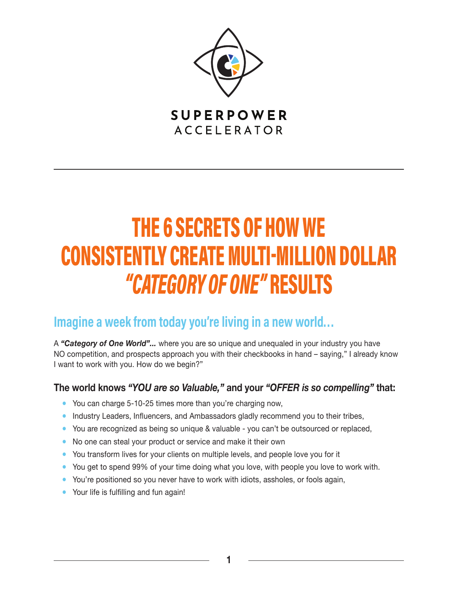

**SUPERPOWER ACCELERATOR** 

# THE 6 SECRETS OF HOW WE CONSISTENTLY CREATE MULTI-MILLION DOLLAR "CATEGORY OF ONE" RESULTS

### Imagine a week from today you're living in a new world...

A *"Category of One World"...* where you are so unique and unequaled in your industry you have NO competition, and prospects approach you with their checkbooks in hand – saying," I already know I want to work with you. How do we begin?"

#### **The world knows** *"YOU are so Valuable,"* **and your** *"OFFER is so compelling"* **that:**

- You can charge 5-10-25 times more than you're charging now,
- Industry Leaders, Influencers, and Ambassadors gladly recommend you to their tribes,
- You are recognized as being so unique & valuable you can't be outsourced or replaced,
- No one can steal your product or service and make it their own
- You transform lives for your clients on multiple levels, and people love you for it
- You get to spend 99% of your time doing what you love, with people you love to work with.
- You're positioned so you never have to work with idiots, assholes, or fools again,
- Your life is fulfilling and fun again!

**1**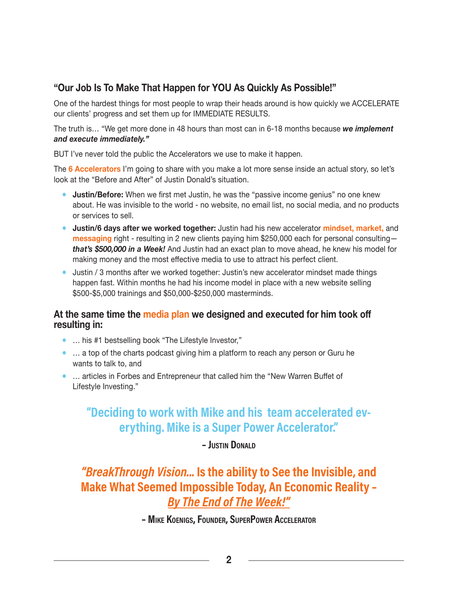#### **"Our Job Is To Make That Happen for YOU As Quickly As Possible!"**

One of the hardest things for most people to wrap their heads around is how quickly we ACCELERATE our clients' progress and set them up for IMMEDIATE RESULTS.

The truth is… "We get more done in 48 hours than most can in 6-18 months because *we implement and execute immediately."*

BUT I've never told the public the Accelerators we use to make it happen.

The **6 Accelerators** I'm going to share with you make a lot more sense inside an actual story, so let's look at the "Before and After" of Justin Donald's situation.

- **Justin/Before:** When we first met Justin, he was the "passive income genius" no one knew about. He was invisible to the world - no website, no email list, no social media, and no products or services to sell.
- **Justin/6 days after we worked together:** Justin had his new accelerator **mindset, market,** and **messaging** right - resulting in 2 new clients paying him \$250,000 each for personal consulting *that's \$500,000 in a Week!* And Justin had an exact plan to move ahead, he knew his model for making money and the most effective media to use to attract his perfect client.
- Justin / 3 months after we worked together: Justin's new accelerator mindset made things happen fast. Within months he had his income model in place with a new website selling \$500-\$5,000 trainings and \$50,000-\$250,000 masterminds.

#### **At the same time the media plan we designed and executed for him took off resulting in:**

- ... his #1 bestselling book "The Lifestyle Investor,"
- … a top of the charts podcast giving him a platform to reach any person or Guru he wants to talk to, and
- ... articles in Forbes and Entrepreneur that called him the "New Warren Buffet of Lifestyle Investing."

#### "Deciding to work with Mike and his team accelerated everything. Mike is a Super Power Accelerator."

– Justin DonalD

"BreakThrough Vision... Is the ability to See the Invisible, and Make What Seemed Impossible Today, An Economic Reality – By The End of The Week!"

– Mike koenigs, FounDer, superpower accelerator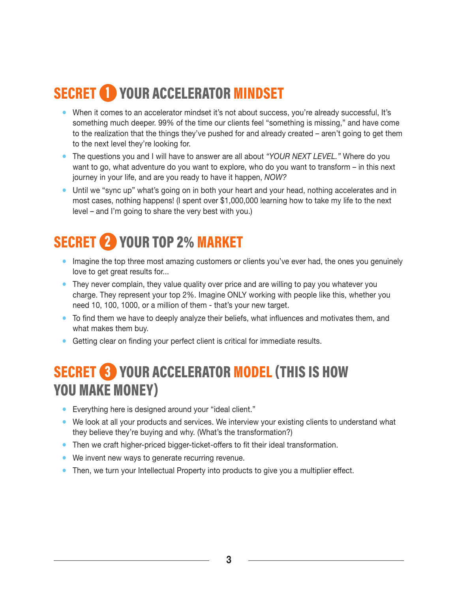# SECRET <sup>1</sup> YOUR ACCELERATOR MINDSET

- When it comes to an accelerator mindset it's not about success, you're already successful, It's something much deeper. 99% of the time our clients feel "something is missing," and have come to the realization that the things they've pushed for and already created – aren't going to get them to the next level they're looking for.
- The questions you and I will have to answer are all about *"YOUR NEXT LEVEL."* Where do you want to go, what adventure do you want to explore, who do you want to transform – in this next journey in your life, and are you ready to have it happen, *NOW?*
- Until we "sync up" what's going on in both your heart and your head, nothing accelerates and in most cases, nothing happens! (I spent over \$1,000,000 learning how to take my life to the next level – and I'm going to share the very best with you.)

# SECRET 2 YOUR TOP 2% MARKET

- Imagine the top three most amazing customers or clients you've ever had, the ones you genuinely love to get great results for...
- They never complain, they value quality over price and are willing to pay you whatever you charge. They represent your top 2%. Imagine ONLY working with people like this, whether you need 10, 100, 1000, or a million of them - that's your new target.
- To find them we have to deeply analyze their beliefs, what influences and motivates them, and what makes them buy.
- Getting clear on finding your perfect client is critical for immediate results.

### SECRET 3 YOUR ACCELERATOR MODEL (THIS IS HOW YOU MAKE MONEY)

- Everything here is designed around your "ideal client."
- We look at all your products and services. We interview your existing clients to understand what they believe they're buying and why. (What's the transformation?)
- Then we craft higher-priced bigger-ticket-offers to fit their ideal transformation.
- We invent new ways to generate recurring revenue.
- Then, we turn your Intellectual Property into products to give you a multiplier effect.